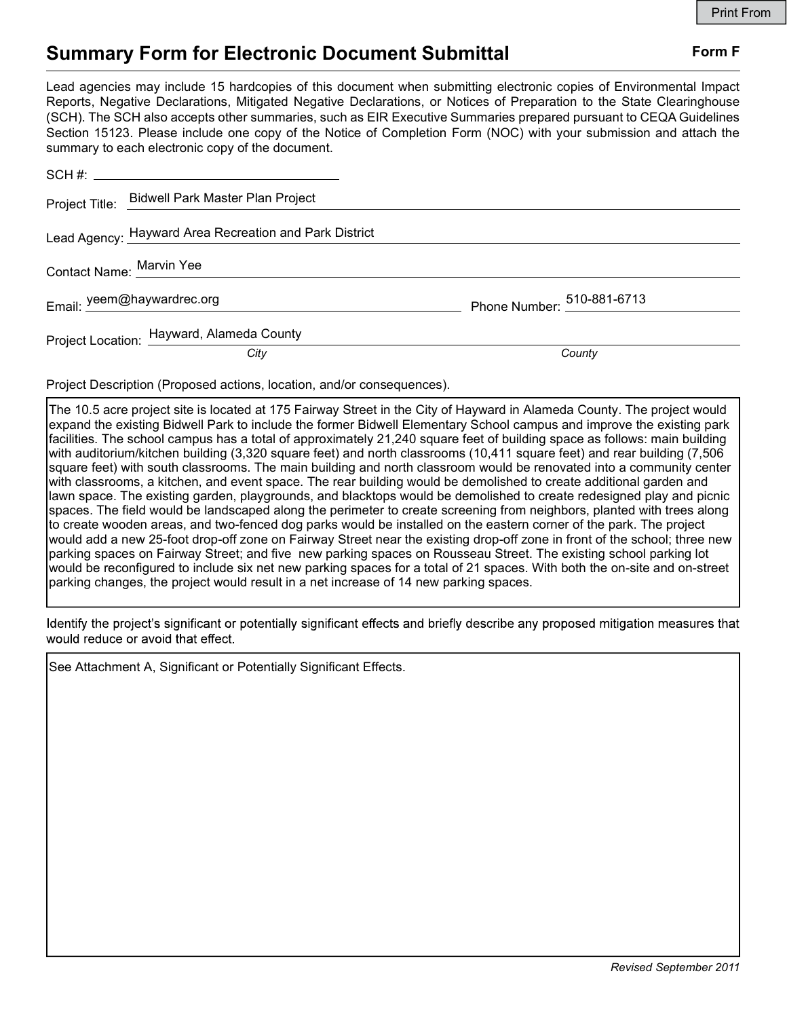# Summary Form for Electronic Document Submittal Form F

Lead agencies may include 15 hardcopies of this document when submitting electronic copies of Environmental Impact Reports, Negative Declarations, Mitigated Negative Declarations, or Notices of Preparation to the State Clearinghouse (SCH). The SCH also accepts other summaries, such as EIR Executive Summaries prepared pursuant to CEQA Guidelines Section 15123. Please include one copy of the Notice of Completion Form (NOC) with your submission and attach the summary to each electronic copy of the document.

|  | Project Title: Bidwell Park Master Plan Project        |                            |
|--|--------------------------------------------------------|----------------------------|
|  | Lead Agency: Hayward Area Recreation and Park District |                            |
|  | Contact Name: Marvin Yee                               |                            |
|  | Email: yeem@haywardrec.org                             | Phone Number: 510-881-6713 |
|  | Project Location: Hayward, Alameda County              |                            |
|  | City                                                   | County                     |

Project Description (Proposed actions, location, and/or consequences).

The 10.5 acre project site is located at 175 Fairway Street in the City of Hayward in Alameda County. The project would expand the existing Bidwell Park to include the former Bidwell Elementary School campus and improve the existing park facilities. The school campus has a total of approximately 21,240 square feet of building space as follows: main building with auditorium/kitchen building (3,320 square feet) and north classrooms (10,411 square feet) and rear building (7,506 square feet) with south classrooms. The main building and north classroom would be renovated into a community center with classrooms, a kitchen, and event space. The rear building would be demolished to create additional garden and lawn space. The existing garden, playgrounds, and blacktops would be demolished to create redesigned play and picnic spaces. The field would be landscaped along the perimeter to create screening from neighbors, planted with trees along to create wooden areas, and two-fenced dog parks would be installed on the eastern corner of the park. The project would add a new 25-foot drop-off zone on Fairway Street near the existing drop-off zone in front of the school; three new parking spaces on Fairway Street; and five new parking spaces on Rousseau Street. The existing school parking lot would be reconfigured to include six net new parking spaces for a total of 21 spaces. With both the on-site and on-street parking changes, the project would result in a net increase of 14 new parking spaces.

Identify the project's significant or potentially significant effects and briefly describe any proposed mitigation measures that would reduce or avoid that effect.

See Attachment A, Significant or Potentially Significant Effects.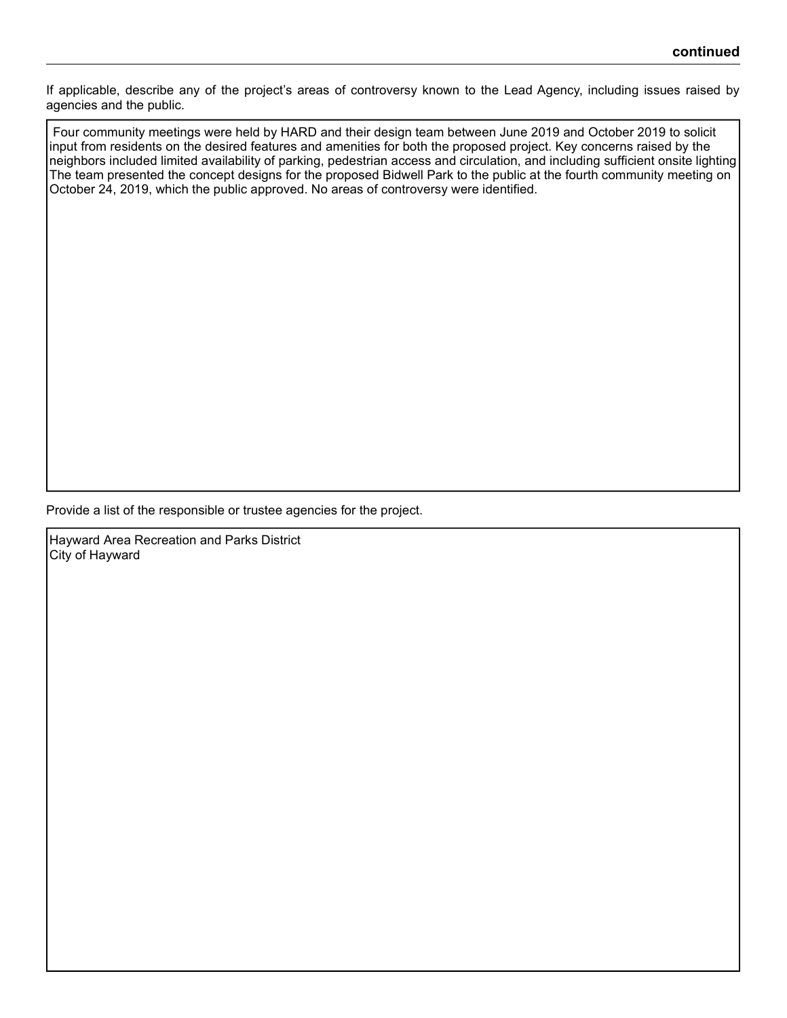If applicable, describe any of the project's areas of controversy known to the Lead Agency, including issues raised by agencies and the public.

 Four community meetings were held by HARD and their design team between June 2019 and October 2019 to solicit input from residents on the desired features and amenities for both the proposed project. Key concerns raised by the neighbors included limited availability of parking, pedestrian access and circulation, and including sufficient onsite lighting The team presented the concept designs for the proposed Bidwell Park to the public at the fourth community meeting on October 24, 2019, which the public approved. No areas of controversy were identified.

Provide a list of the responsible or trustee agencies for the project.

Hayward Area Recreation and Parks District City of Hayward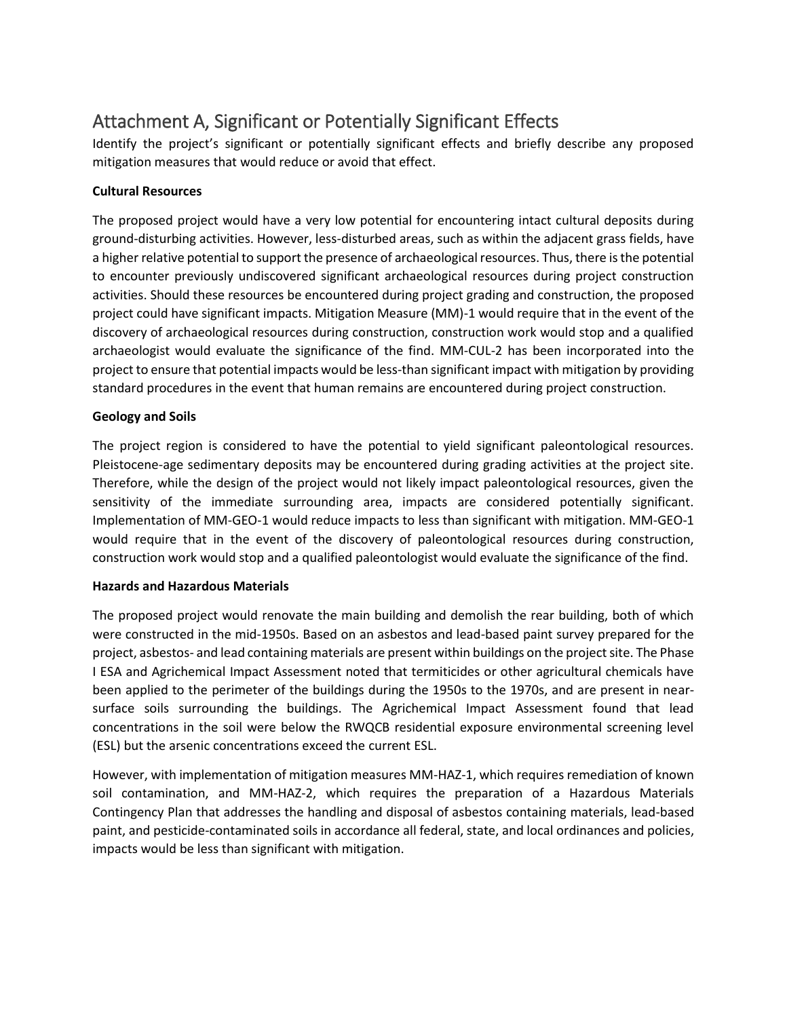# Attachment A, Significant or Potentially Significant Effects

Identify the project's significant or potentially significant effects and briefly describe any proposed mitigation measures that would reduce or avoid that effect.

## **Cultural Resources**

The proposed project would have a very low potential for encountering intact cultural deposits during ground-disturbing activities. However, less-disturbed areas, such as within the adjacent grass fields, have a higher relative potential to support the presence of archaeological resources. Thus, there is the potential to encounter previously undiscovered significant archaeological resources during project construction activities. Should these resources be encountered during project grading and construction, the proposed project could have significant impacts. Mitigation Measure (MM)-1 would require that in the event of the discovery of archaeological resources during construction, construction work would stop and a qualified archaeologist would evaluate the significance of the find. MM-CUL-2 has been incorporated into the project to ensure that potential impacts would be less-than significant impact with mitigation by providing standard procedures in the event that human remains are encountered during project construction.

## **Geology and Soils**

The project region is considered to have the potential to yield significant paleontological resources. Pleistocene-age sedimentary deposits may be encountered during grading activities at the project site. Therefore, while the design of the project would not likely impact paleontological resources, given the sensitivity of the immediate surrounding area, impacts are considered potentially significant. Implementation of MM-GEO-1 would reduce impacts to less than significant with mitigation. MM-GEO-1 would require that in the event of the discovery of paleontological resources during construction, construction work would stop and a qualified paleontologist would evaluate the significance of the find.

### **Hazards and Hazardous Materials**

The proposed project would renovate the main building and demolish the rear building, both of which were constructed in the mid-1950s. Based on an asbestos and lead-based paint survey prepared for the project, asbestos- and lead containing materials are present within buildings on the project site. The Phase I ESA and Agrichemical Impact Assessment noted that termiticides or other agricultural chemicals have been applied to the perimeter of the buildings during the 1950s to the 1970s, and are present in nearsurface soils surrounding the buildings. The Agrichemical Impact Assessment found that lead concentrations in the soil were below the RWQCB residential exposure environmental screening level (ESL) but the arsenic concentrations exceed the current ESL.

However, with implementation of mitigation measures MM-HAZ-1, which requires remediation of known soil contamination, and MM-HAZ-2, which requires the preparation of a Hazardous Materials Contingency Plan that addresses the handling and disposal of asbestos containing materials, lead-based paint, and pesticide-contaminated soils in accordance all federal, state, and local ordinances and policies, impacts would be less than significant with mitigation.